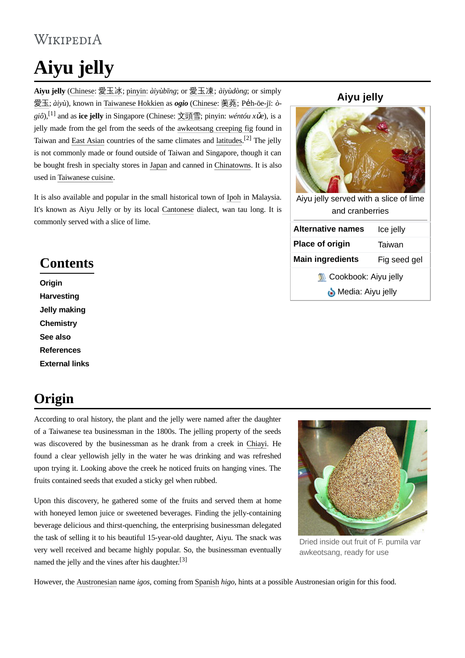#### WIKIPEDIA

# **Aiyu jelly**

**Aiyu jelly** [\(Chinese:](https://en.wikipedia.org/wiki/Traditional_Chinese_characters) [愛玉冰](https://en.wiktionary.org/wiki/%E6%84%9B%E7%8E%89%E5%86%B0); [pinyin:](https://en.wikipedia.org/wiki/Pinyin) *àiyùbīng*; or [愛玉凍](https://en.wiktionary.org/wiki/%E6%84%9B%E7%8E%89%E5%87%8D); *àiyùdòng*; or simply [愛玉](https://en.wiktionary.org/wiki/%E6%84%9B%E7%8E%89); *àiyù*), known in [Taiwanese](https://en.wikipedia.org/wiki/Taiwanese_Hokkien) Hokkien as *ogio* ([Chinese](https://en.wikipedia.org/wiki/Traditional_Chinese_characters): [薁蕘](https://en.wiktionary.org/wiki/%E8%96%81%E8%95%98); Pe̍[h-ōe-jī:](https://en.wikipedia.org/wiki/Pe%CC%8Dh-%C5%8De-j%C4%AB) *ògiô*), [\[1\]](#page-1-0) and as **ice jelly** in Singapore (Chinese: [文](https://en.wiktionary.org/wiki/%E6%96%87)[頭](https://en.wiktionary.org/wiki/%E9%A0%AD)[雪](https://en.wiktionary.org/wiki/%E9%9B%AA); pinyin: *wéntóu x*ǔ*e*), is a jelly made from the gel from the seeds of the [awkeotsang](https://en.wikipedia.org/wiki/Ficus_pumila_var._awkeotsang) creeping fig found in Taiwan and East [Asian](https://en.wikipedia.org/wiki/East_Asia) countries of the same climates and [latitudes](https://en.wikipedia.org/wiki/Latitude).<sup>[\[2\]](#page-2-0)</sup> The jelly is not commonly made or found outside of Taiwan and Singapore, though it can be bought fresh in specialty stores in [Japan](https://en.wikipedia.org/wiki/Japan) and canned in [Chinatowns](https://en.wikipedia.org/wiki/Chinatown). It is also used in [Taiwanese](https://en.wikipedia.org/wiki/Taiwanese_cuisine) cuisine.

It is also available and popular in the small historical town of [Ipoh](https://en.wikipedia.org/wiki/Ipoh) in Malaysia. It's known as Aiyu Jelly or by its local [Cantonese](https://en.wikipedia.org/wiki/Cantonese) dialect, wan tau long. It is commonly served with a slice of lime.

#### **Contents**

**[Origin](#page-0-0) [Harvesting](#page-1-1) Jelly [making](#page-1-2) [Chemistry](#page-1-3) See [also](#page-1-4) [References](#page-1-5) [External](#page-2-1) links**

#### <span id="page-0-0"></span>**Origin**

According to oral history, the plant and the jelly were named after the daughter of a Taiwanese tea businessman in the 1800s. The jelling property of the seeds was discovered by the businessman as he drank from a creek in [Chiayi](https://en.wikipedia.org/wiki/Chiayi). He found a clear yellowish jelly in the water he was drinking and was refreshed upon trying it. Looking above the creek he noticed fruits on hanging vines. The fruits contained seeds that exuded a sticky gel when rubbed.

Upon this discovery, he gathered some of the fruits and served them at home with honeyed lemon juice or sweetened beverages. Finding the jelly-containing beverage delicious and thirst-quenching, the enterprising businessman delegated the task of selling it to his beautiful 15-year-old daughter, Aiyu. The snack was very well received and became highly popular. So, the businessman eventually named the jelly and the vines after his daughter.<sup>[\[3\]](#page-2-2)</sup>

Dried inside out fruit of F. pumila var awkeotsang, ready for use

However, the [Austronesian](https://en.wikipedia.org/wiki/Austronesian) name *igos*, coming from [Spanish](https://en.wikipedia.org/wiki/Spanish_language) *higo*, hints at a possible Austronesian origin for this food.

# Aiyu jelly served with a slice of [lime](https://en.wikipedia.org/wiki/Lime_(fruit)) and [cranberries](https://en.wikipedia.org/wiki/Cranberry) **Alternative names** Ice jelly **Place of origin** [Taiwan](https://en.wikipedia.org/wiki/Taiwan) **Main ingredients** Fig seed gel **[Cookbook:](https://en.wikibooks.org/wiki/Special:Search/Cookbook:_Aiyu_jelly) Aiyu jelly [Media:](https://commons.wikimedia.org/wiki/Special:Search/Aiyu_jelly) Aiyu jelly**

#### **Aiyu jelly**

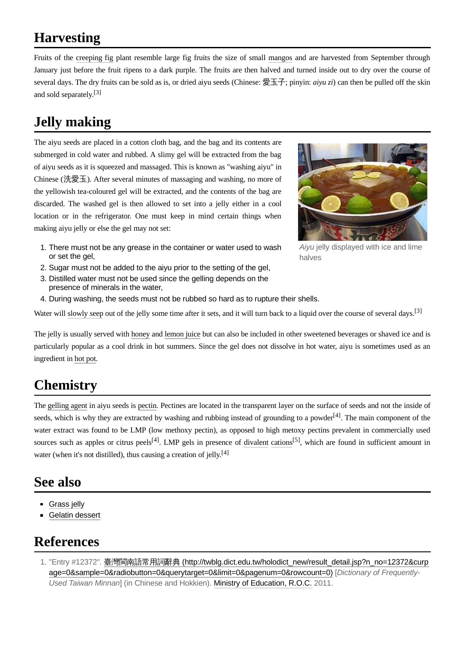## <span id="page-1-1"></span>**Harvesting**

Fruits of the [creeping](https://en.wikipedia.org/wiki/Ficus_pumila_var._awkeotsang) fig plant resemble large fig fruits the size of small [mangos](https://en.wikipedia.org/wiki/Mango) and are harvested from September through January just before the fruit ripens to a dark purple. The fruits are then halved and turned inside out to dry over the course of several days. The dry fruits can be sold as is, or dried aiyu seeds (Chinese: 愛玉子; pinyin: *aiyu zi*) can then be pulled off the skin and sold separately.<sup>[\[3\]](#page-2-2)</sup>

## <span id="page-1-2"></span>**Jelly making**

The aiyu seeds are placed in a cotton cloth bag, and the bag and its contents are submerged in cold water and rubbed. A slimy gel will be extracted from the bag of aiyu seeds as it is squeezed and massaged. This is known as "washing aiyu" in Chinese (洗愛玉). After several minutes of massaging and washing, no more of the yellowish tea-coloured gel will be extracted, and the contents of the bag are discarded. The washed gel is then allowed to set into a jelly either in a cool location or in the refrigerator. One must keep in mind certain things when making aiyu jelly or else the gel may not set:



- 1. There must not be any grease in the container or water used to wash or set the gel, halves
- 2. Sugar must not be added to the aiyu prior to the setting of the gel,
- 3. Distilled water must not be used since the gelling depends on the presence of minerals in the water,
- 4. During washing, the seeds must not be rubbed so hard as to rupture their shells.

Water will [slowly](https://en.wikipedia.org/wiki/Syneresis_(chemistry)) seep out of the jelly some time after it sets, and it will turn back to a liquid over the course of several days.<sup>[\[3\]](#page-2-2)</sup>

The jelly is usually served with [honey](https://en.wikipedia.org/wiki/Honey) and [lemon](https://en.wikipedia.org/wiki/Lemon_juice) juice but can also be included in other sweetened beverages or shaved ice and is particularly popular as a cool drink in hot summers. Since the gel does not dissolve in hot water, aiyu is sometimes used as an ingredient in hot [pot.](https://en.wikipedia.org/wiki/Hot_pot)

#### <span id="page-1-3"></span>**Chemistry**

The [gelling](https://en.wikipedia.org/wiki/Thickening_agent) agent in aiyu seeds is [pectin](https://en.wikipedia.org/wiki/Pectin). Pectines are located in the transparent layer on the surface of seeds and not the inside of seeds, which is why they are extracted by washing and rubbing instead of grounding to a powder<sup>[\[4\]](#page-2-3)</sup>. The main component of the water extract was found to be LMP (low methoxy pectin), as opposed to high metoxy pectins prevalent in commercially used sources such as apples or citrus peels<sup>[\[4\]](#page-2-3)</sup>. LMP gels in presence of [divalent](https://en.wikipedia.org/wiki/Valence_(chemistry)) [cations](https://en.wikipedia.org/wiki/Cation)<sup>[\[5\]](#page-2-4)</sup>, which are found in sufficient amount in water (when it's not distilled), thus causing a creation of jelly.<sup>[\[4\]](#page-2-3)</sup>

#### <span id="page-1-4"></span>**See also**

- [Grass](https://en.wikipedia.org/wiki/Grass_jelly) jelly
- Gelatin [dessert](https://en.wikipedia.org/wiki/Gelatin_dessert)

#### <span id="page-1-5"></span>**References**

<span id="page-1-0"></span>1. "Entry #12372". 臺灣閩南語常用詞辭典 (http://twblg.dict.edu.tw/holodict\_new/result\_detail.jsp?n\_no=12372&curp [age=0&sample=0&radiobutton=0&querytarget=0&limit=0&pagenum=0&rowcount=0\)](http://twblg.dict.edu.tw/holodict_new/result_detail.jsp?n_no=12372&curpage=0&sample=0&radiobutton=0&querytarget=0&limit=0&pagenum=0&rowcount=0) [*Dictionary of Frequently-Used Taiwan Minnan*] (in Chinese and Hokkien). Ministry of [Education,](https://en.wikipedia.org/wiki/Ministry_of_Education_(Taiwan)) R.O.C. 2011.